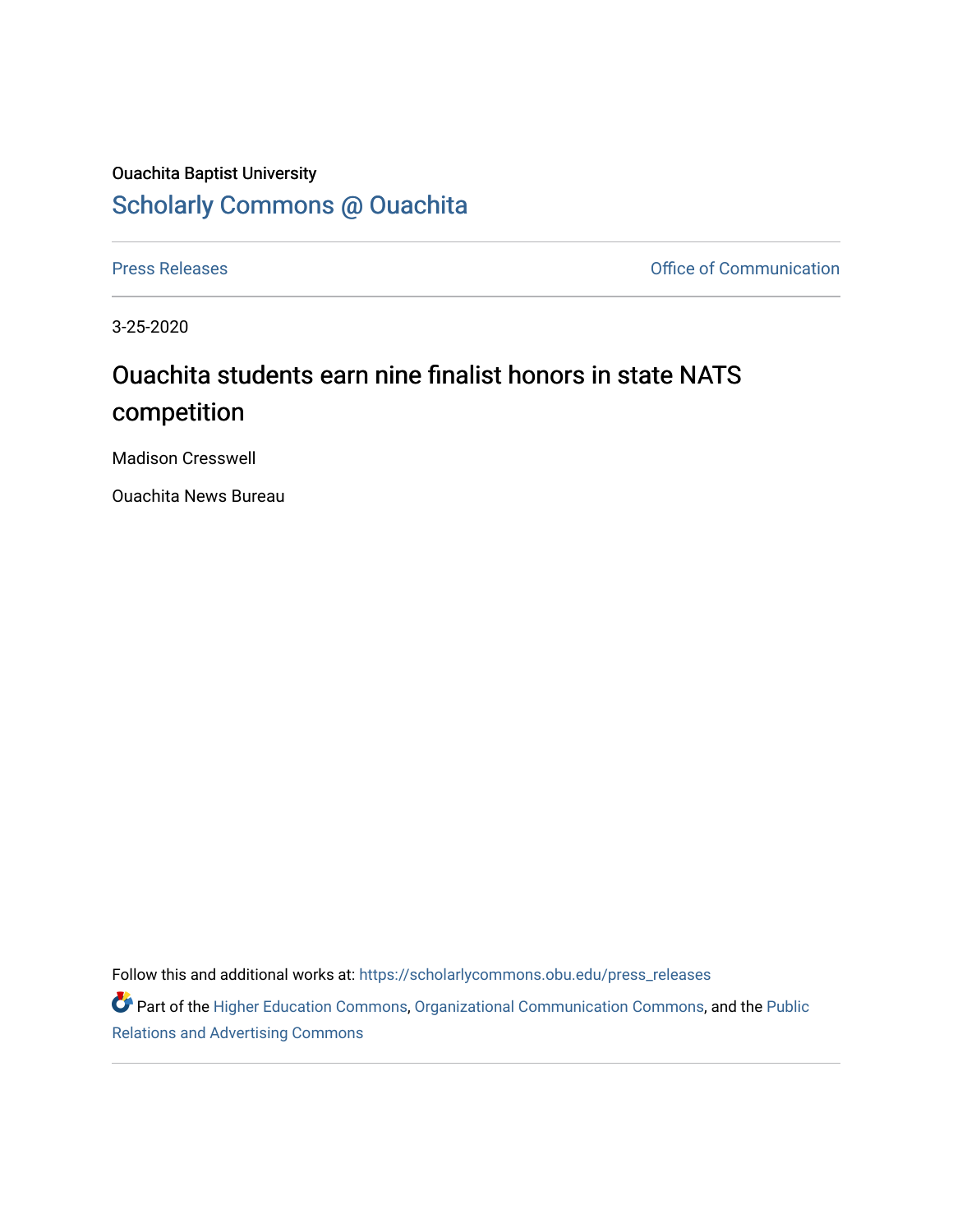## Ouachita Baptist University [Scholarly Commons @ Ouachita](https://scholarlycommons.obu.edu/)

[Press Releases](https://scholarlycommons.obu.edu/press_releases) **Press Releases Communication** 

3-25-2020

## Ouachita students earn nine finalist honors in state NATS competition

Madison Cresswell

Ouachita News Bureau

Follow this and additional works at: [https://scholarlycommons.obu.edu/press\\_releases](https://scholarlycommons.obu.edu/press_releases?utm_source=scholarlycommons.obu.edu%2Fpress_releases%2F734&utm_medium=PDF&utm_campaign=PDFCoverPages)

Part of the [Higher Education Commons,](http://network.bepress.com/hgg/discipline/1245?utm_source=scholarlycommons.obu.edu%2Fpress_releases%2F734&utm_medium=PDF&utm_campaign=PDFCoverPages) [Organizational Communication Commons,](http://network.bepress.com/hgg/discipline/335?utm_source=scholarlycommons.obu.edu%2Fpress_releases%2F734&utm_medium=PDF&utm_campaign=PDFCoverPages) and the [Public](http://network.bepress.com/hgg/discipline/336?utm_source=scholarlycommons.obu.edu%2Fpress_releases%2F734&utm_medium=PDF&utm_campaign=PDFCoverPages) [Relations and Advertising Commons](http://network.bepress.com/hgg/discipline/336?utm_source=scholarlycommons.obu.edu%2Fpress_releases%2F734&utm_medium=PDF&utm_campaign=PDFCoverPages)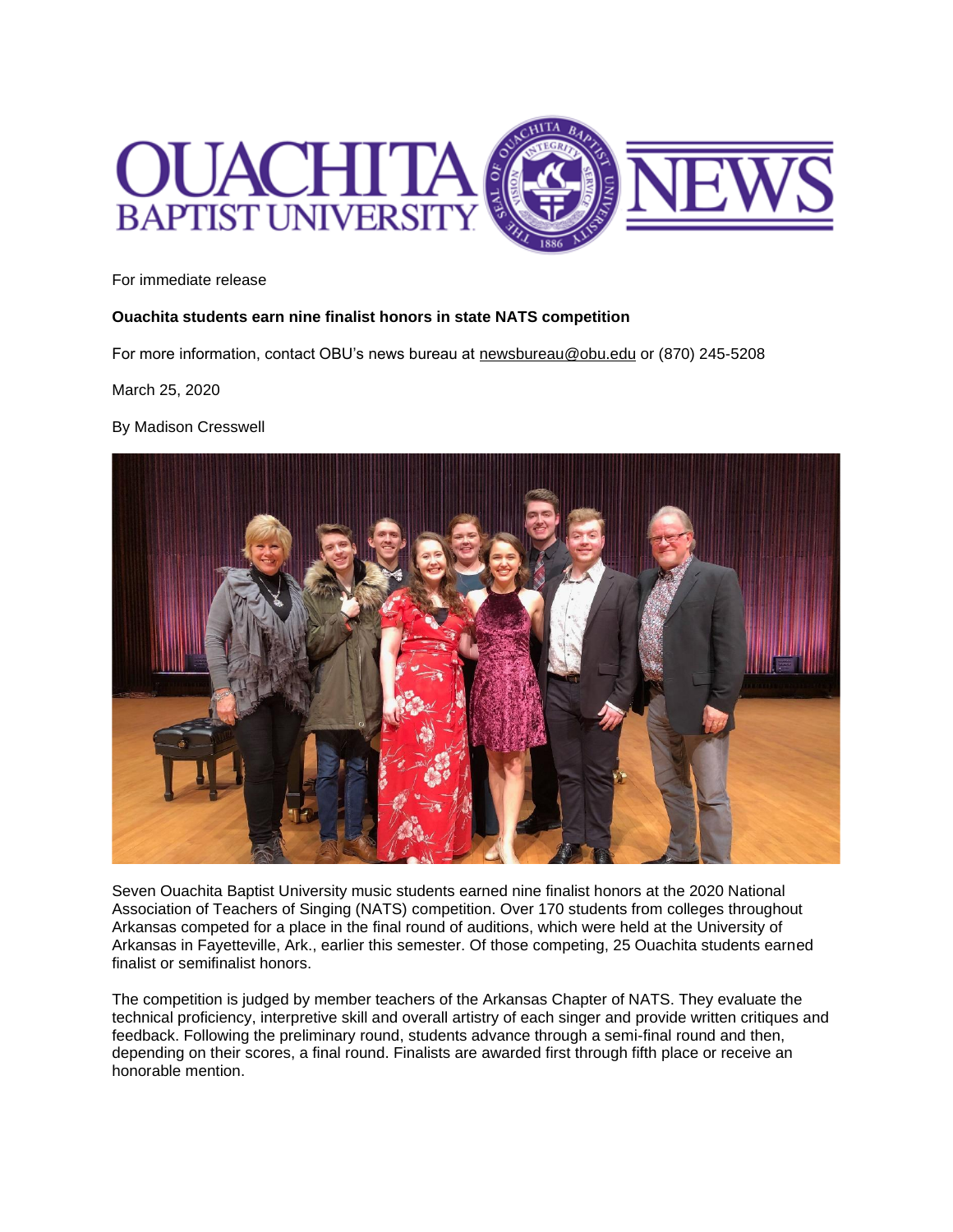

For immediate release

## **Ouachita students earn nine finalist honors in state NATS competition**

For more information, contact OBU's news bureau at [newsbureau@obu.edu](mailto:newsbureau@obu.edu) or (870) 245-5208

March 25, 2020

By [Madison Cresswell](https://obu.edu/stories/listing.php?author=Madison%20Cresswell)



Seven Ouachita Baptist University music students earned nine finalist honors at the 2020 National Association of Teachers of Singing (NATS) competition. Over 170 students from colleges throughout Arkansas competed for a place in the final round of auditions, which were held at the University of Arkansas in Fayetteville, Ark., earlier this semester. Of those competing, 25 Ouachita students earned finalist or semifinalist honors.

The competition is judged by member teachers of the Arkansas Chapter of NATS. They evaluate the technical proficiency, interpretive skill and overall artistry of each singer and provide written critiques and feedback. Following the preliminary round, students advance through a semi-final round and then, depending on their scores, a final round. Finalists are awarded first through fifth place or receive an honorable mention.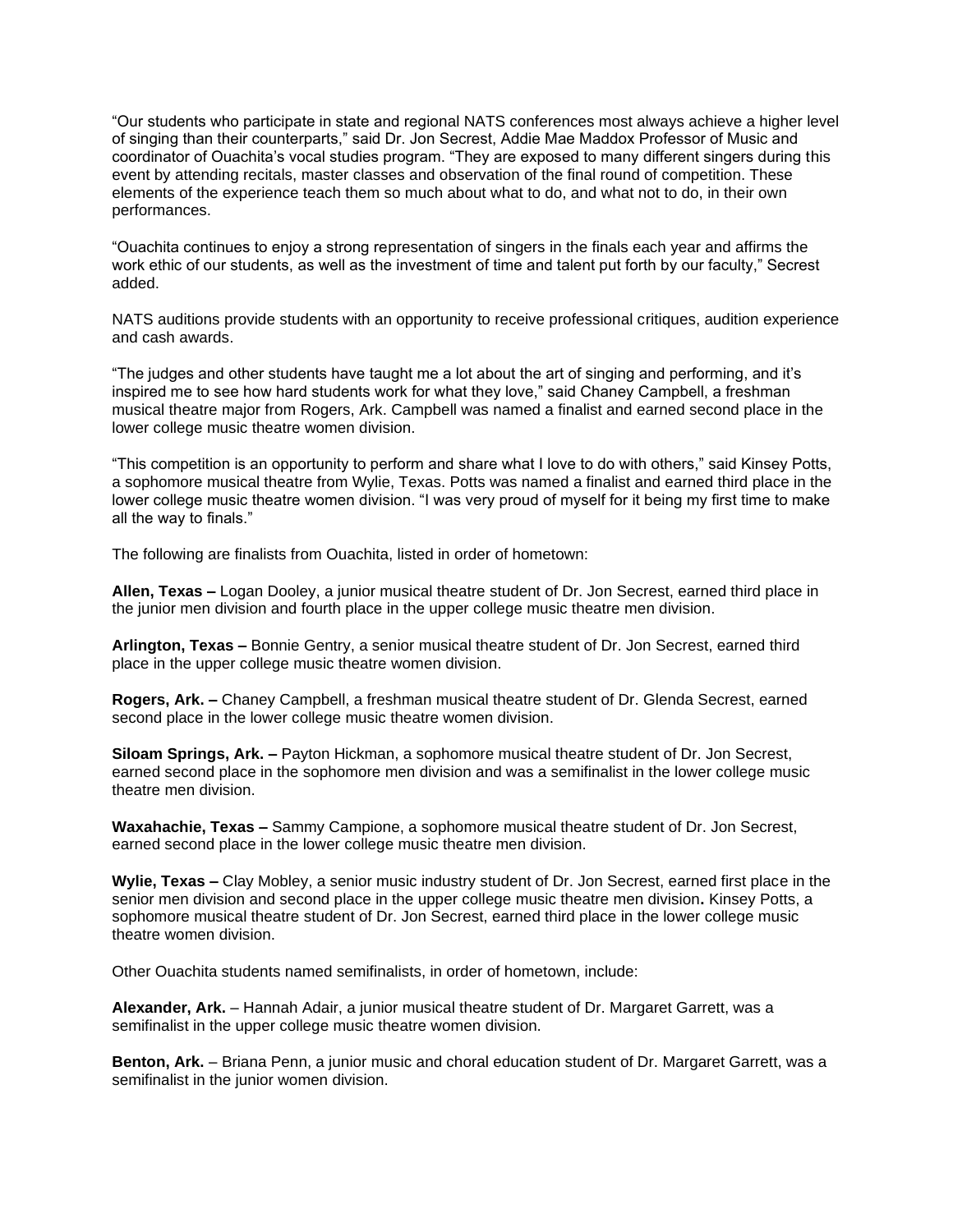"Our students who participate in state and regional NATS conferences most always achieve a higher level of singing than their counterparts," said Dr. Jon Secrest, Addie Mae Maddox Professor of Music and coordinator of Ouachita's vocal studies program. "They are exposed to many different singers during this event by attending recitals, master classes and observation of the final round of competition. These elements of the experience teach them so much about what to do, and what not to do, in their own performances.

"Ouachita continues to enjoy a strong representation of singers in the finals each year and affirms the work ethic of our students, as well as the investment of time and talent put forth by our faculty," Secrest added.

NATS auditions provide students with an opportunity to receive professional critiques, audition experience and cash awards.

"The judges and other students have taught me a lot about the art of singing and performing, and it's inspired me to see how hard students work for what they love," said Chaney Campbell, a freshman musical theatre major from Rogers, Ark. Campbell was named a finalist and earned second place in the lower college music theatre women division.

"This competition is an opportunity to perform and share what I love to do with others," said Kinsey Potts, a sophomore musical theatre from Wylie, Texas. Potts was named a finalist and earned third place in the lower college music theatre women division. "I was very proud of myself for it being my first time to make all the way to finals."

The following are finalists from Ouachita, listed in order of hometown:

**Allen, Texas –** Logan Dooley, a junior musical theatre student of Dr. Jon Secrest, earned third place in the junior men division and fourth place in the upper college music theatre men division.

**Arlington, Texas –** Bonnie Gentry, a senior musical theatre student of Dr. Jon Secrest, earned third place in the upper college music theatre women division.

**Rogers, Ark. –** Chaney Campbell, a freshman musical theatre student of Dr. Glenda Secrest, earned second place in the lower college music theatre women division.

**Siloam Springs, Ark. –** Payton Hickman, a sophomore musical theatre student of Dr. Jon Secrest, earned second place in the sophomore men division and was a semifinalist in the lower college music theatre men division.

**Waxahachie, Texas –** Sammy Campione, a sophomore musical theatre student of Dr. Jon Secrest, earned second place in the lower college music theatre men division.

**Wylie, Texas –** Clay Mobley, a senior music industry student of Dr. Jon Secrest, earned first place in the senior men division and second place in the upper college music theatre men division**.** Kinsey Potts, a sophomore musical theatre student of Dr. Jon Secrest, earned third place in the lower college music theatre women division.

Other Ouachita students named semifinalists, in order of hometown, include:

**Alexander, Ark.** – Hannah Adair, a junior musical theatre student of Dr. Margaret Garrett, was a semifinalist in the upper college music theatre women division.

**Benton, Ark.** – Briana Penn, a junior music and choral education student of Dr. Margaret Garrett, was a semifinalist in the junior women division.